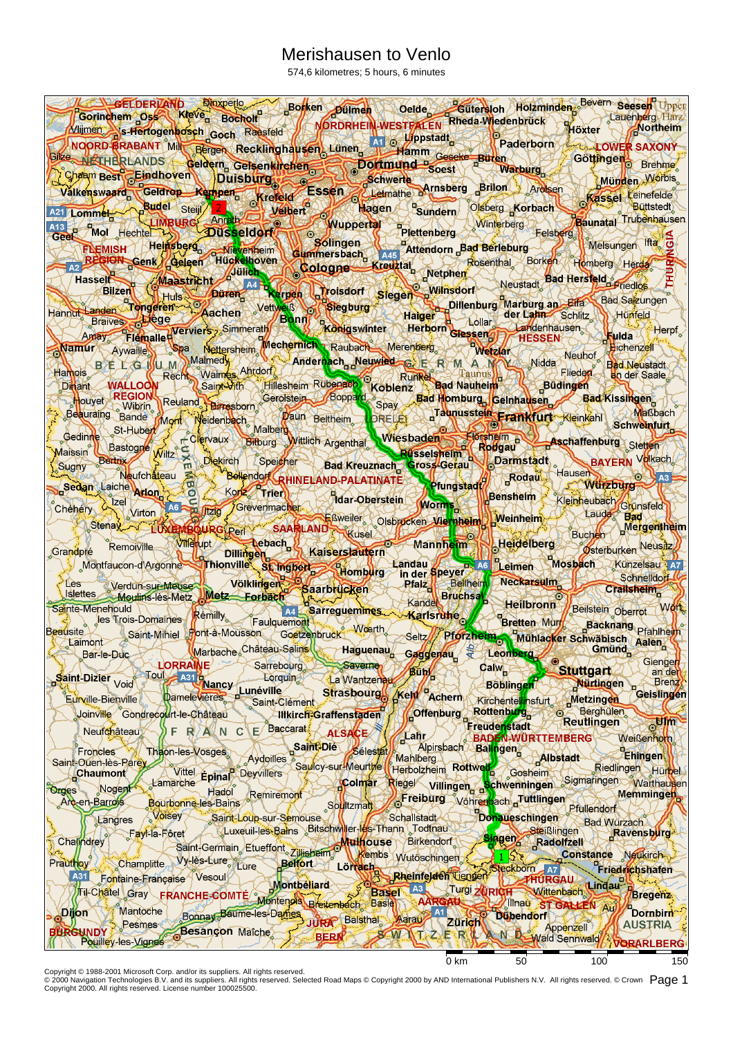## Merishausen to Venlo

574,6 kilometres; 5 hours, 6 minutes

| GELDERVAND Blowerlo Borken pullmen Gelde Gutersloh Holzminden Bevern seeser Upper<br>Milimen is Hertogenbosch Goch Raesfeld MORDRHEIN-WESTFALEN Rheda Wiedenbrück Hackher Lauenberg Harz<br>MORD Base Northeim                          |                                           |                                                                                      |                               |                              |
|-----------------------------------------------------------------------------------------------------------------------------------------------------------------------------------------------------------------------------------------|-------------------------------------------|--------------------------------------------------------------------------------------|-------------------------------|------------------------------|
|                                                                                                                                                                                                                                         |                                           |                                                                                      |                               |                              |
| Mijmen S-Hertogenhosch Goch Rassfeld<br>NOORD BRABANT Mill Bergen Recklinghausen Lünen AT S Hamm Geseke Buren Gotthingen Gottingen Brehme.                                                                                              |                                           |                                                                                      |                               |                              |
|                                                                                                                                                                                                                                         |                                           |                                                                                      |                               |                              |
|                                                                                                                                                                                                                                         |                                           |                                                                                      |                               | Münden Worbis                |
|                                                                                                                                                                                                                                         |                                           |                                                                                      |                               |                              |
|                                                                                                                                                                                                                                         |                                           |                                                                                      |                               | <b>Baunatal</b> Trubenhausen |
|                                                                                                                                                                                                                                         |                                           |                                                                                      |                               |                              |
|                                                                                                                                                                                                                                         |                                           |                                                                                      |                               |                              |
| The Michigan Center Contained Contained Society of the Contract of The Contract of The Contract of The Contract of The Contract of The Contract of The Contract of The Contract of The Contract of The Contract of The Contrac          |                                           |                                                                                      |                               |                              |
|                                                                                                                                                                                                                                         |                                           |                                                                                      |                               |                              |
| Hasselt Bad Hersteld<br>Handu Landen Tongeren Decken Verben Troisdorf Siegen Wilnsdorf Neustadt Bad Hersteld<br>Handu Landen Tongeren Aachen Verben Begburg Hanger Dillenburg Marburg an Effa Bad Sakungen<br>Braives Colege Machen Wer |                                           |                                                                                      |                               |                              |
|                                                                                                                                                                                                                                         |                                           |                                                                                      |                               | Herpf                        |
| Spa Nettersheim Mechernich Raubach Merenberg<br>Namur Aywaille                                                                                                                                                                          |                                           |                                                                                      |                               | <b>Hichenzell</b>            |
| EL Gillu M Malmedy XI & Andernach Neuwied C E R M A M Midda Neuhof<br>BELG WUM Malmedy                                                                                                                                                  |                                           |                                                                                      |                               | <b>Bad Neustadt</b>          |
| Hamois.                                                                                                                                                                                                                                 |                                           |                                                                                      |                               | <b>a</b> n der Saale         |
| $D$ hant $\angle$<br>Houver REGION Reuland Samesborn Gerolstein Boppard Spay Bad Homburg Geinhausen Bad Kissingen                                                                                                                       |                                           |                                                                                      |                               |                              |
| Daun Beitheim ORELES Company Taunusstein Frankfurt Kleinkahl Schweinfurt<br>Beauraing Bande Mont Neidenbach                                                                                                                             |                                           |                                                                                      |                               | Waßbach                      |
| Malberg<br>Gedinne <sub>3</sub>                                                                                                                                                                                                         |                                           |                                                                                      |                               |                              |
| St-Hubert Colevaux Binburg Witlich Argenthal Wiesbaden Einselspein Aschaffenburg Schweinfurt<br>Bastogre Wiltz & Dekirch (Speigher Bad Kreuznach Gross-Gerau Darmstadt BayERN Velkach<br>∕laissin⁄                                      |                                           |                                                                                      |                               |                              |
| Bertry<br>Sugny                                                                                                                                                                                                                         |                                           |                                                                                      |                               |                              |
| Sedan Laiche Arlon                                                                                                                                                                                                                      |                                           |                                                                                      | Wurzburg                      | $O4$ A3                      |
| Bad Kreuznach Gross-Gerau Barmstadt<br>Iche Arlon Gross-Gerau Rodau Hausen<br>Izel Arlon Bang Terren Mar-Oberstein Worms (Bensheim Kleinheuba<br>Chéhery L                                                                              |                                           | Bensheim Kleinheubach Grünsfeld                                                      |                               |                              |
| Eßweiler Olsprocken Viernheim Weinheim<br>Stenax 10xBMBOURG\Ren SAARLAND                                                                                                                                                                |                                           |                                                                                      | Laude Bad                     | Buchen Mergentheim           |
| Remoiville Willerupt                                                                                                                                                                                                                    |                                           | Mannheim Heidelberg                                                                  |                               | Osterburken Neusitz          |
| Nebach Kaiserslautern<br>Grandpré<br><b>Dillingen</b><br>Montfaucon-d'Argonne Thionville st Inghest Control Landau Charles As Leimen Mosbach Künzelsau az                                                                               |                                           |                                                                                      |                               |                              |
| <b>Les</b><br><b>Rialz</b>                                                                                                                                                                                                              |                                           | Bellheim Neckarsulm                                                                  |                               | Schnelidorf                  |
| Verdun sur Meuse Völklingen Baarbrücken<br>Settes<br>state of                                                                                                                                                                           |                                           | Kandel Bruchsal Heilbronn Beilstein Oberrot Work                                     |                               | Crailsheim                   |
| Al Sarreguemmes Karlsruhe<br>Sainte-Menehould<br>les Trois-Domaines Rémilly<br>Faulquemont                                                                                                                                              |                                           |                                                                                      |                               |                              |
| sure Saint-Mihiel Pont-a-Mousson Goetzenbruck Weerth<br>Beausite                                                                                                                                                                        |                                           | Bretten Murr Backnang Prahlheim<br>Seltz// Pforzheim Mühlacker Schwäbisch Aalen      |                               |                              |
| Marbache Château-Salins<br><b>Haguenau</b><br>Bar-le-Duc                                                                                                                                                                                | Gaggenau Leonberg                         |                                                                                      | Gmund                         |                              |
| <b>LORRAINE</b><br>Saverne<br>Sarrebourg<br><b>Bup/</b>                                                                                                                                                                                 | $9a$ <sub>/<math>\frac{1}{2}</math></sub> |                                                                                      | <b>Stuttgart</b>              | Gienger<br>an den            |
| Toul A31 B<br>Nancy<br><b>Lorquin</b><br>Saint-Dizier Void<br>La Wantzenau<br>Damelevières <u>Lunéville</u><br>Strasbourg<br>Kehl Achern                                                                                                |                                           | Böblingen                                                                            | Nurtingen                     | Brenz)<br>Geislingen         |
| Eurville-Bienville<br>Saint-Clement                                                                                                                                                                                                     |                                           | Kirchentellinsfurt<br><b>Rottenburg</b>                                              | Metzingen<br><b>Berghülen</b> |                              |
| <b>Coffenburg</b><br>Joinville Gondrecourt-le-Château<br><b>Illkirch-Graffenstaden</b><br>$E/B$ accarat<br>Neufchâteau<br>C                                                                                                             |                                           | <b>Freudenstadt</b>                                                                  | Reutlingen                    | <b>Form</b>                  |
| FR/ALN<br><b>ALSACE</b><br>⊈ahr_<br>Saint-Die                                                                                                                                                                                           | Alpirsbach Balingen                       | <b>BADEN WÜRTTEMBERG</b>                                                             |                               | <b>Weißenhorn!</b>           |
| <b><i>Sélestát</i></b><br><b>Froncles</b><br>Thaon-les-Vosges<br>Aydoilles<br>Mahlberg.<br>Saint-Ouen-lès-Parey<br>Saulcy-sur-Meurthe                                                                                                   |                                           | Albstadt                                                                             |                               | Ehingen                      |
| Lamarche Epinal Deyvillers<br><mark>,Chaumont</mark><br>Colmar                                                                                                                                                                          |                                           | Herbolzheim Rottweil Gosheim<br>Riegel villingen schwenningen Sigmaringen Watthausen |                               | Riedlingen Hürbel            |
| Nogen<br><b>Stries</b><br>Hadol<br>Remiremont<br>Arc-en-Barrois<br>Bourbonne-les-Bains                                                                                                                                                  |                                           | Freiburg Vöhrenbach Tuttlingen                                                       |                               | Memmingen                    |
| Soultzmatt<br>Voisey<br>Schallstadt<br>Saint-Loup-sur-Semouse<br>Langres                                                                                                                                                                |                                           | Donaueschingen                                                                       | <b>Pfullendorf</b>            |                              |
| Luxeuil-les-Bains Bitschwiller-les-Thann Todtnau<br>Fayl-la-Fôret                                                                                                                                                                       |                                           | Singen Steißlingen                                                                   | Bad Wurzach                   | Ravensburg                   |
| Chalindrey<br><b>Mulhouse</b><br><b>Birkendon</b><br>Saint-Germain Etueffont Zillisheim<br>Kembs Wutoschingen                                                                                                                           |                                           | 1575                                                                                 | Constance Neukirch            |                              |
| Vy-les-Lure<br>Champlitte<br>Prauthoy<br><b>Belfort</b><br>Lörrach                                                                                                                                                                      |                                           | Steckborn A7                                                                         |                               | Friedrichshafen              |
| Rheinfelden Tiengen<br>A31<br>Fontaine-Française Vesoul<br>Basel A <sub>3</sub>                                                                                                                                                         |                                           | <b>THURGAU</b><br>Turgi Zürich Wittenbach                                            |                               |                              |
| Til-Chatel Gray FRANCHE COMTÉ Montenois Breitenbach Basiel<br>Mantoche                                                                                                                                                                  | AARGAU                                    | Illinau ST GALLEN Au                                                                 |                               | /Bregenz.                    |
| <b>pijon</b><br>$\mathbf{M}$<br>Bonnay Baume-les-Dames<br>JURA Balsthal Aarau<br><b>Pesmes</b>                                                                                                                                          | <b>Zürich</b>                             | <b>Dübendorf</b>                                                                     |                               | Dornbirn<br><b>AUSTRIA</b>   |
| <b>Besançon Maîche</b><br><b>BURGUNDY</b><br><b>SOMATI</b><br><b>BERN</b><br>Pouilley-les-Vignes                                                                                                                                        |                                           | 2 E R & N R Wald Sennwald                                                            |                               | <b>VORARLBERG</b>            |
|                                                                                                                                                                                                                                         | 0 km                                      | 50                                                                                   | 100                           | 150                          |

Copyright © 1988-2001 Microsoft Corp. and/or its suppliers. All rights reserved.<br>© 2000 Navigation Technologies B.V. and its suppliers. All rights reserved. Selected Road Maps © Copyright 2000 by AND International Publish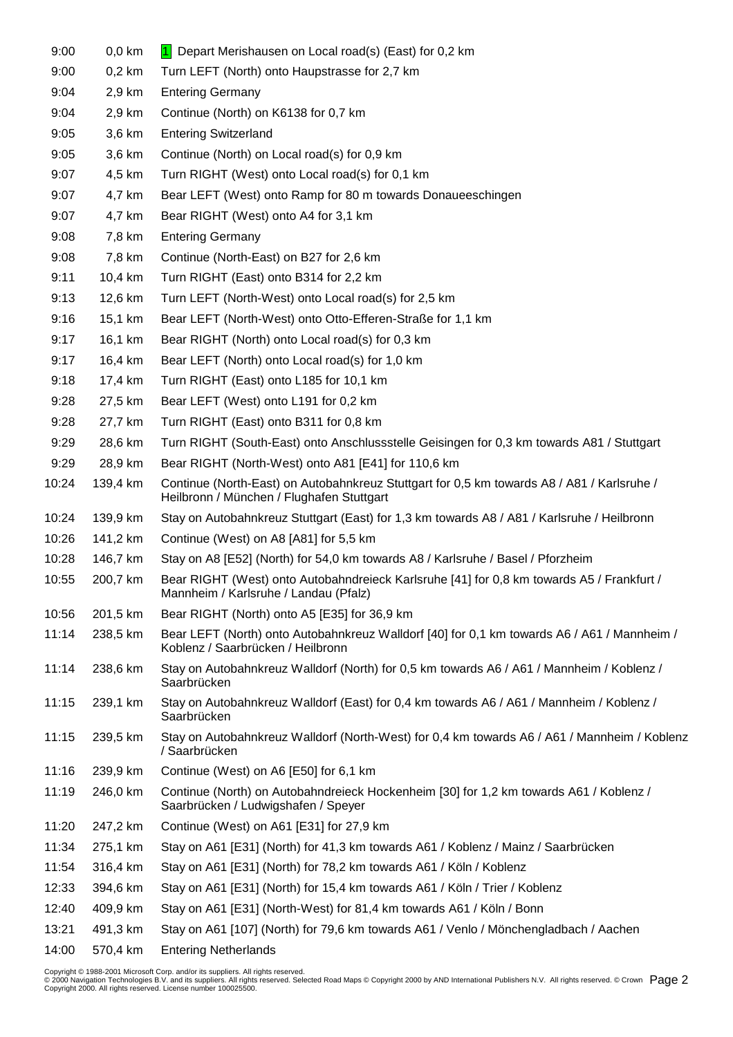| 9:00  | $0,0$ km | Depart Merishausen on Local road(s) (East) for 0,2 km<br>$\blacksquare$                                                                 |
|-------|----------|-----------------------------------------------------------------------------------------------------------------------------------------|
| 9:00  | $0,2$ km | Turn LEFT (North) onto Haupstrasse for 2,7 km                                                                                           |
| 9:04  | 2,9 km   | <b>Entering Germany</b>                                                                                                                 |
| 9:04  | 2,9 km   | Continue (North) on K6138 for 0,7 km                                                                                                    |
| 9:05  | 3,6 km   | <b>Entering Switzerland</b>                                                                                                             |
| 9:05  | 3,6 km   | Continue (North) on Local road(s) for 0,9 km                                                                                            |
| 9:07  | 4,5 km   | Turn RIGHT (West) onto Local road(s) for 0,1 km                                                                                         |
| 9:07  | 4,7 km   | Bear LEFT (West) onto Ramp for 80 m towards Donaueeschingen                                                                             |
| 9:07  | 4,7 km   | Bear RIGHT (West) onto A4 for 3,1 km                                                                                                    |
| 9:08  | 7,8 km   | <b>Entering Germany</b>                                                                                                                 |
| 9:08  | 7,8 km   | Continue (North-East) on B27 for 2,6 km                                                                                                 |
| 9:11  | 10,4 km  | Turn RIGHT (East) onto B314 for 2,2 km                                                                                                  |
| 9:13  | 12,6 km  | Turn LEFT (North-West) onto Local road(s) for 2,5 km                                                                                    |
| 9:16  | 15,1 km  | Bear LEFT (North-West) onto Otto-Efferen-Straße for 1,1 km                                                                              |
| 9:17  | 16,1 km  | Bear RIGHT (North) onto Local road(s) for 0,3 km                                                                                        |
| 9:17  | 16,4 km  | Bear LEFT (North) onto Local road(s) for 1,0 km                                                                                         |
| 9:18  | 17,4 km  | Turn RIGHT (East) onto L185 for 10,1 km                                                                                                 |
| 9:28  | 27,5 km  | Bear LEFT (West) onto L191 for 0,2 km                                                                                                   |
| 9:28  | 27,7 km  | Turn RIGHT (East) onto B311 for 0,8 km                                                                                                  |
| 9:29  | 28,6 km  | Turn RIGHT (South-East) onto Anschlussstelle Geisingen for 0,3 km towards A81 / Stuttgart                                               |
| 9:29  | 28,9 km  | Bear RIGHT (North-West) onto A81 [E41] for 110,6 km                                                                                     |
| 10:24 | 139,4 km | Continue (North-East) on Autobahnkreuz Stuttgart for 0,5 km towards A8 / A81 / Karlsruhe /<br>Heilbronn / München / Flughafen Stuttgart |
| 10:24 | 139,9 km | Stay on Autobahnkreuz Stuttgart (East) for 1,3 km towards A8 / A81 / Karlsruhe / Heilbronn                                              |
| 10:26 | 141,2 km | Continue (West) on A8 [A81] for 5,5 km                                                                                                  |
| 10:28 | 146,7 km | Stay on A8 [E52] (North) for 54,0 km towards A8 / Karlsruhe / Basel / Pforzheim                                                         |
| 10:55 | 200,7 km | Bear RIGHT (West) onto Autobahndreieck Karlsruhe [41] for 0,8 km towards A5 / Frankfurt /<br>Mannheim / Karlsruhe / Landau (Pfalz)      |
| 10:56 | 201,5 km | Bear RIGHT (North) onto A5 [E35] for 36,9 km                                                                                            |
| 11:14 | 238,5 km | Bear LEFT (North) onto Autobahnkreuz Walldorf [40] for 0,1 km towards A6 / A61 / Mannheim /<br>Koblenz / Saarbrücken / Heilbronn        |
| 11:14 | 238,6 km | Stay on Autobahnkreuz Walldorf (North) for 0,5 km towards A6 / A61 / Mannheim / Koblenz /<br>Saarbrücken                                |
| 11:15 | 239,1 km | Stay on Autobahnkreuz Walldorf (East) for 0,4 km towards A6 / A61 / Mannheim / Koblenz /<br>Saarbrücken                                 |
| 11:15 | 239,5 km | Stay on Autobahnkreuz Walldorf (North-West) for 0,4 km towards A6 / A61 / Mannheim / Koblenz<br>/ Saarbrücken                           |
| 11:16 | 239,9 km | Continue (West) on A6 [E50] for 6,1 km                                                                                                  |
| 11:19 | 246,0 km | Continue (North) on Autobahndreieck Hockenheim [30] for 1,2 km towards A61 / Koblenz /<br>Saarbrücken / Ludwigshafen / Speyer           |
| 11:20 | 247,2 km | Continue (West) on A61 [E31] for 27,9 km                                                                                                |
| 11:34 | 275,1 km | Stay on A61 [E31] (North) for 41,3 km towards A61 / Koblenz / Mainz / Saarbrücken                                                       |
| 11:54 | 316,4 km | Stay on A61 [E31] (North) for 78,2 km towards A61 / Köln / Koblenz                                                                      |
| 12:33 | 394,6 km | Stay on A61 [E31] (North) for 15,4 km towards A61 / Köln / Trier / Koblenz                                                              |
| 12:40 | 409,9 km | Stay on A61 [E31] (North-West) for 81,4 km towards A61 / Köln / Bonn                                                                    |
| 13:21 | 491,3 km | Stay on A61 [107] (North) for 79,6 km towards A61 / Venlo / Mönchengladbach / Aachen                                                    |
| 14:00 | 570,4 km | <b>Entering Netherlands</b>                                                                                                             |

Copyright © 1988-2001 Microsoft Corp. and/or its suppliers. All rights reserved.<br>© 2000 Navigation Technologies B.V. and its suppliers. All rights reserved. Selected Road Maps © Copyright 2000 by AND International Publish